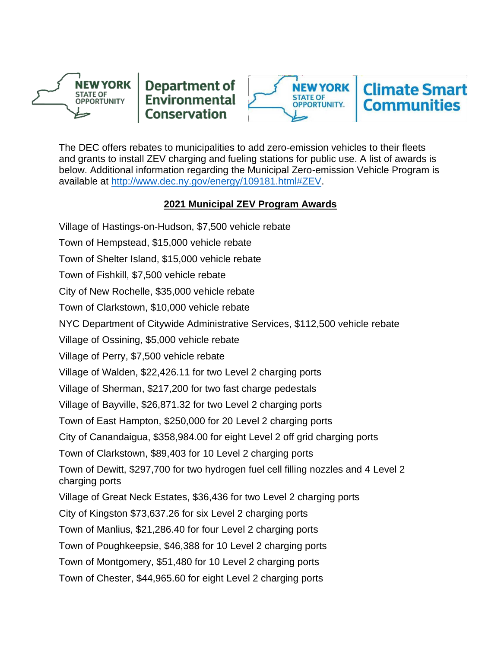



The DEC offers rebates to municipalities to add zero-emission vehicles to their fleets and grants to install ZEV charging and fueling stations for public use. A list of awards is below. Additional information regarding the Municipal Zero-emission Vehicle Program is available at [http://www.dec.ny.gov/energy/109181.html#ZEV.](http://www.dec.ny.gov/energy/109181.html#ZEV)

# **2021 Municipal ZEV Program Awards**

Village of Hastings-on-Hudson, \$7,500 vehicle rebate Town of Hempstead, \$15,000 vehicle rebate Town of Shelter Island, \$15,000 vehicle rebate Town of Fishkill, \$7,500 vehicle rebate City of New Rochelle, \$35,000 vehicle rebate Town of Clarkstown, \$10,000 vehicle rebate NYC Department of Citywide Administrative Services, \$112,500 vehicle rebate Village of Ossining, \$5,000 vehicle rebate Village of Perry, \$7,500 vehicle rebate Village of Walden, \$22,426.11 for two Level 2 charging ports Village of Sherman, \$217,200 for two fast charge pedestals Village of Bayville, \$26,871.32 for two Level 2 charging ports Town of East Hampton, \$250,000 for 20 Level 2 charging ports City of Canandaigua, \$358,984.00 for eight Level 2 off grid charging ports Town of Clarkstown, \$89,403 for 10 Level 2 charging ports Town of Dewitt, \$297,700 for two hydrogen fuel cell filling nozzles and 4 Level 2 charging ports Village of Great Neck Estates, \$36,436 for two Level 2 charging ports City of Kingston \$73,637.26 for six Level 2 charging ports Town of Manlius, \$21,286.40 for four Level 2 charging ports Town of Poughkeepsie, \$46,388 for 10 Level 2 charging ports Town of Montgomery, \$51,480 for 10 Level 2 charging ports Town of Chester, \$44,965.60 for eight Level 2 charging ports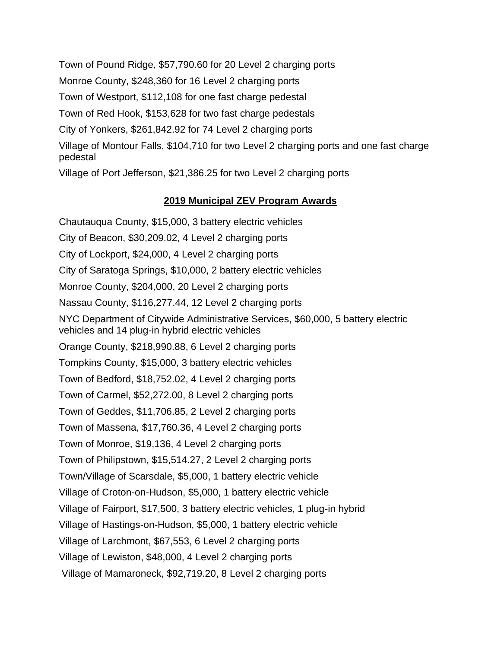Town of Pound Ridge, \$57,790.60 for 20 Level 2 charging ports Monroe County, \$248,360 for 16 Level 2 charging ports Town of Westport, \$112,108 for one fast charge pedestal Town of Red Hook, \$153,628 for two fast charge pedestals City of Yonkers, \$261,842.92 for 74 Level 2 charging ports Village of Montour Falls, \$104,710 for two Level 2 charging ports and one fast charge pedestal Village of Port Jefferson, \$21,386.25 for two Level 2 charging ports

## **2019 Municipal ZEV Program Awards**

Chautauqua County, \$15,000, 3 battery electric vehicles City of Beacon, \$30,209.02, 4 Level 2 charging ports City of Lockport, \$24,000, 4 Level 2 charging ports City of Saratoga Springs, \$10,000, 2 battery electric vehicles Monroe County, \$204,000, 20 Level 2 charging ports Nassau County, \$116,277.44, 12 Level 2 charging ports NYC Department of Citywide Administrative Services, \$60,000, 5 battery electric vehicles and 14 plug-in hybrid electric vehicles Orange County, \$218,990.88, 6 Level 2 charging ports Tompkins County, \$15,000, 3 battery electric vehicles Town of Bedford, \$18,752.02, 4 Level 2 charging ports Town of Carmel, \$52,272.00, 8 Level 2 charging ports Town of Geddes, \$11,706.85, 2 Level 2 charging ports Town of Massena, \$17,760.36, 4 Level 2 charging ports Town of Monroe, \$19,136, 4 Level 2 charging ports Town of Philipstown, \$15,514.27, 2 Level 2 charging ports Town/Village of Scarsdale, \$5,000, 1 battery electric vehicle Village of Croton-on-Hudson, \$5,000, 1 battery electric vehicle Village of Fairport, \$17,500, 3 battery electric vehicles, 1 plug-in hybrid Village of Hastings-on-Hudson, \$5,000, 1 battery electric vehicle Village of Larchmont, \$67,553, 6 Level 2 charging ports Village of Lewiston, \$48,000, 4 Level 2 charging ports Village of Mamaroneck, \$92,719.20, 8 Level 2 charging ports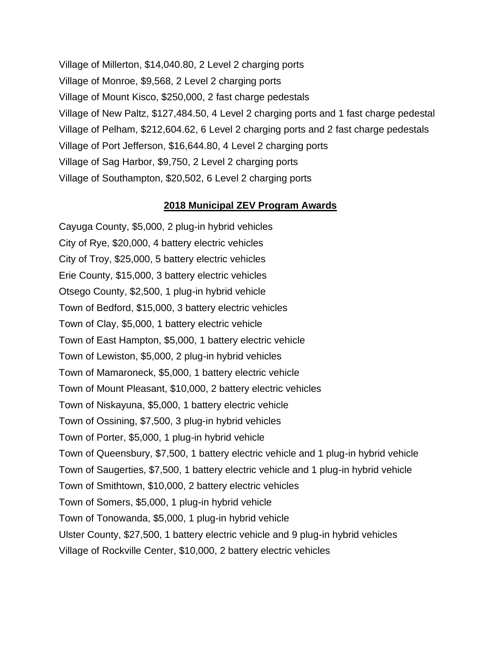Village of Millerton, \$14,040.80, 2 Level 2 charging ports Village of Monroe, \$9,568, 2 Level 2 charging ports Village of Mount Kisco, \$250,000, 2 fast charge pedestals Village of New Paltz, \$127,484.50, 4 Level 2 charging ports and 1 fast charge pedestal Village of Pelham, \$212,604.62, 6 Level 2 charging ports and 2 fast charge pedestals Village of Port Jefferson, \$16,644.80, 4 Level 2 charging ports Village of Sag Harbor, \$9,750, 2 Level 2 charging ports Village of Southampton, \$20,502, 6 Level 2 charging ports

#### **2018 Municipal ZEV Program Awards**

Cayuga County, \$5,000, 2 plug-in hybrid vehicles City of Rye, \$20,000, 4 battery electric vehicles City of Troy, \$25,000, 5 battery electric vehicles Erie County, \$15,000, 3 battery electric vehicles Otsego County, \$2,500, 1 plug-in hybrid vehicle Town of Bedford, \$15,000, 3 battery electric vehicles Town of Clay, \$5,000, 1 battery electric vehicle Town of East Hampton, \$5,000, 1 battery electric vehicle Town of Lewiston, \$5,000, 2 plug-in hybrid vehicles Town of Mamaroneck, \$5,000, 1 battery electric vehicle Town of Mount Pleasant, \$10,000, 2 battery electric vehicles Town of Niskayuna, \$5,000, 1 battery electric vehicle Town of Ossining, \$7,500, 3 plug-in hybrid vehicles Town of Porter, \$5,000, 1 plug-in hybrid vehicle Town of Queensbury, \$7,500, 1 battery electric vehicle and 1 plug-in hybrid vehicle Town of Saugerties, \$7,500, 1 battery electric vehicle and 1 plug-in hybrid vehicle Town of Smithtown, \$10,000, 2 battery electric vehicles Town of Somers, \$5,000, 1 plug-in hybrid vehicle Town of Tonowanda, \$5,000, 1 plug-in hybrid vehicle Ulster County, \$27,500, 1 battery electric vehicle and 9 plug-in hybrid vehicles Village of Rockville Center, \$10,000, 2 battery electric vehicles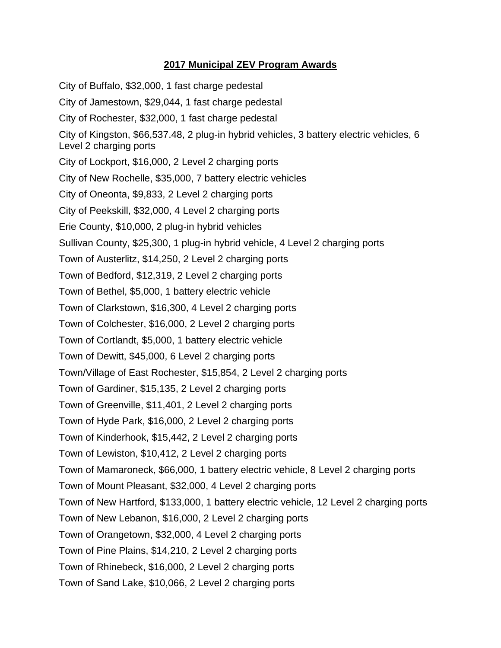# **2017 Municipal ZEV Program Awards**

City of Buffalo, \$32,000, 1 fast charge pedestal City of Jamestown, \$29,044, 1 fast charge pedestal City of Rochester, \$32,000, 1 fast charge pedestal City of Kingston, \$66,537.48, 2 plug-in hybrid vehicles, 3 battery electric vehicles, 6 Level 2 charging ports City of Lockport, \$16,000, 2 Level 2 charging ports City of New Rochelle, \$35,000, 7 battery electric vehicles City of Oneonta, \$9,833, 2 Level 2 charging ports City of Peekskill, \$32,000, 4 Level 2 charging ports Erie County, \$10,000, 2 plug-in hybrid vehicles Sullivan County, \$25,300, 1 plug-in hybrid vehicle, 4 Level 2 charging ports Town of Austerlitz, \$14,250, 2 Level 2 charging ports Town of Bedford, \$12,319, 2 Level 2 charging ports Town of Bethel, \$5,000, 1 battery electric vehicle Town of Clarkstown, \$16,300, 4 Level 2 charging ports Town of Colchester, \$16,000, 2 Level 2 charging ports Town of Cortlandt, \$5,000, 1 battery electric vehicle Town of Dewitt, \$45,000, 6 Level 2 charging ports Town/Village of East Rochester, \$15,854, 2 Level 2 charging ports Town of Gardiner, \$15,135, 2 Level 2 charging ports Town of Greenville, \$11,401, 2 Level 2 charging ports Town of Hyde Park, \$16,000, 2 Level 2 charging ports Town of Kinderhook, \$15,442, 2 Level 2 charging ports Town of Lewiston, \$10,412, 2 Level 2 charging ports Town of Mamaroneck, \$66,000, 1 battery electric vehicle, 8 Level 2 charging ports Town of Mount Pleasant, \$32,000, 4 Level 2 charging ports Town of New Hartford, \$133,000, 1 battery electric vehicle, 12 Level 2 charging ports Town of New Lebanon, \$16,000, 2 Level 2 charging ports Town of Orangetown, \$32,000, 4 Level 2 charging ports Town of Pine Plains, \$14,210, 2 Level 2 charging ports Town of Rhinebeck, \$16,000, 2 Level 2 charging ports Town of Sand Lake, \$10,066, 2 Level 2 charging ports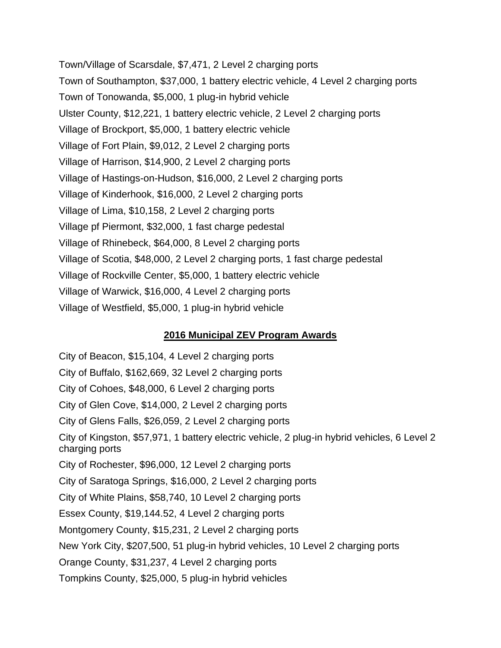Town/Village of Scarsdale, \$7,471, 2 Level 2 charging ports Town of Southampton, \$37,000, 1 battery electric vehicle, 4 Level 2 charging ports Town of Tonowanda, \$5,000, 1 plug-in hybrid vehicle Ulster County, \$12,221, 1 battery electric vehicle, 2 Level 2 charging ports Village of Brockport, \$5,000, 1 battery electric vehicle Village of Fort Plain, \$9,012, 2 Level 2 charging ports Village of Harrison, \$14,900, 2 Level 2 charging ports Village of Hastings-on-Hudson, \$16,000, 2 Level 2 charging ports Village of Kinderhook, \$16,000, 2 Level 2 charging ports Village of Lima, \$10,158, 2 Level 2 charging ports Village pf Piermont, \$32,000, 1 fast charge pedestal Village of Rhinebeck, \$64,000, 8 Level 2 charging ports Village of Scotia, \$48,000, 2 Level 2 charging ports, 1 fast charge pedestal Village of Rockville Center, \$5,000, 1 battery electric vehicle Village of Warwick, \$16,000, 4 Level 2 charging ports Village of Westfield, \$5,000, 1 plug-in hybrid vehicle

## **2016 Municipal ZEV Program Awards**

City of Beacon, \$15,104, 4 Level 2 charging ports City of Buffalo, \$162,669, 32 Level 2 charging ports City of Cohoes, \$48,000, 6 Level 2 charging ports City of Glen Cove, \$14,000, 2 Level 2 charging ports City of Glens Falls, \$26,059, 2 Level 2 charging ports City of Kingston, \$57,971, 1 battery electric vehicle, 2 plug-in hybrid vehicles, 6 Level 2 charging ports City of Rochester, \$96,000, 12 Level 2 charging ports City of Saratoga Springs, \$16,000, 2 Level 2 charging ports City of White Plains, \$58,740, 10 Level 2 charging ports Essex County, \$19,144.52, 4 Level 2 charging ports Montgomery County, \$15,231, 2 Level 2 charging ports New York City, \$207,500, 51 plug-in hybrid vehicles, 10 Level 2 charging ports Orange County, \$31,237, 4 Level 2 charging ports Tompkins County, \$25,000, 5 plug-in hybrid vehicles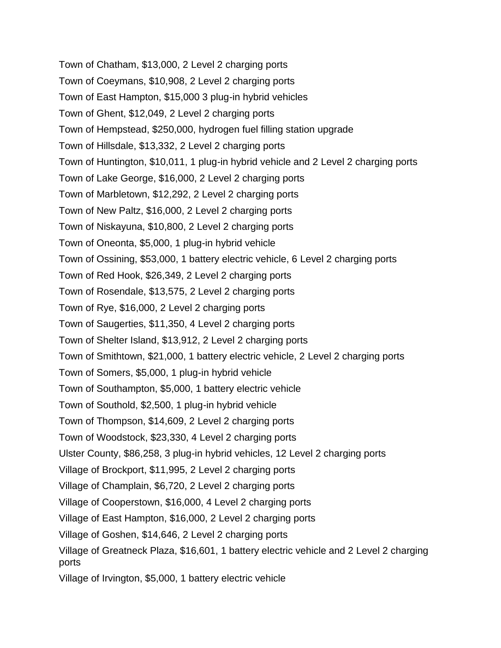Town of Chatham, \$13,000, 2 Level 2 charging ports Town of Coeymans, \$10,908, 2 Level 2 charging ports Town of East Hampton, \$15,000 3 plug-in hybrid vehicles Town of Ghent, \$12,049, 2 Level 2 charging ports Town of Hempstead, \$250,000, hydrogen fuel filling station upgrade Town of Hillsdale, \$13,332, 2 Level 2 charging ports Town of Huntington, \$10,011, 1 plug-in hybrid vehicle and 2 Level 2 charging ports Town of Lake George, \$16,000, 2 Level 2 charging ports Town of Marbletown, \$12,292, 2 Level 2 charging ports Town of New Paltz, \$16,000, 2 Level 2 charging ports Town of Niskayuna, \$10,800, 2 Level 2 charging ports Town of Oneonta, \$5,000, 1 plug-in hybrid vehicle Town of Ossining, \$53,000, 1 battery electric vehicle, 6 Level 2 charging ports Town of Red Hook, \$26,349, 2 Level 2 charging ports Town of Rosendale, \$13,575, 2 Level 2 charging ports Town of Rye, \$16,000, 2 Level 2 charging ports Town of Saugerties, \$11,350, 4 Level 2 charging ports Town of Shelter Island, \$13,912, 2 Level 2 charging ports Town of Smithtown, \$21,000, 1 battery electric vehicle, 2 Level 2 charging ports Town of Somers, \$5,000, 1 plug-in hybrid vehicle Town of Southampton, \$5,000, 1 battery electric vehicle Town of Southold, \$2,500, 1 plug-in hybrid vehicle Town of Thompson, \$14,609, 2 Level 2 charging ports Town of Woodstock, \$23,330, 4 Level 2 charging ports Ulster County, \$86,258, 3 plug-in hybrid vehicles, 12 Level 2 charging ports Village of Brockport, \$11,995, 2 Level 2 charging ports Village of Champlain, \$6,720, 2 Level 2 charging ports Village of Cooperstown, \$16,000, 4 Level 2 charging ports Village of East Hampton, \$16,000, 2 Level 2 charging ports Village of Goshen, \$14,646, 2 Level 2 charging ports Village of Greatneck Plaza, \$16,601, 1 battery electric vehicle and 2 Level 2 charging ports Village of Irvington, \$5,000, 1 battery electric vehicle